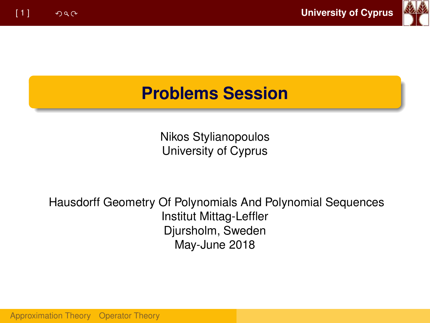

#### **Problems Session**

Nikos Stylianopoulos University of Cyprus

Hausdorff Geometry Of Polynomials And Polynomial Sequences Institut Mittag-Leffler Djursholm, Sweden May-June 2018

[Approximation Theory](#page-1-0) [Operator Theory](#page-4-0)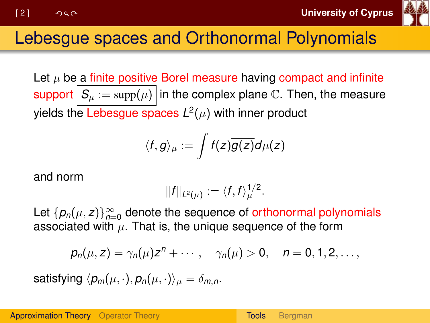

# <span id="page-1-0"></span>Lebesgue spaces and Orthonormal Polynomials

Let  $\mu$  be a finite positive Borel measure having compact and infinite support  $S_\mu := \text{supp}(\mu)$  in the complex plane C. Then, the measure yields the Lebesgue spaces  $\mathsf{L}^2(\mu)$  with inner product

$$
\langle f,g\rangle_\mu:=\int f(z)\overline{g(z)}d\mu(z)
$$

and norm

$$
||f||_{L^2(\mu)}:=\langle f,f\rangle_{\mu}^{1/2}.
$$

Let  $\{p_n(\mu, z)\}_{n=0}^{\infty}$  denote the sequence of orthonormal polynomials associated with  $\mu$ . That is, the unique sequence of the form

$$
p_n(\mu, z) = \gamma_n(\mu)z^n + \cdots, \quad \gamma_n(\mu) > 0, \quad n = 0, 1, 2, \ldots,
$$

satisfying  $\langle p_m(\mu, \cdot), p_n(\mu, \cdot)\rangle_{\mu} = \delta_{mn}$ .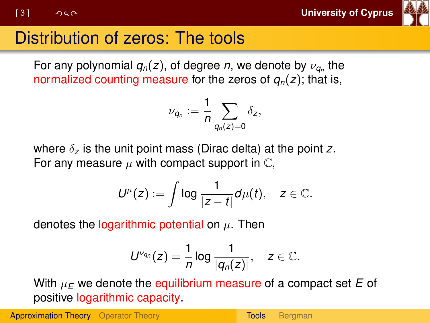

# Distribution of zeros: The tools

For any polynomial  $q_n(z)$ , of degree *n*, we denote by  $\nu_{\boldsymbol{q}_n}$  the normalized counting measure for the zeros of *qn*(*z*); that is,

$$
\nu_{q_n}:=\frac{1}{n}\sum_{q_n(z)=0}\delta_z,
$$

where δ*<sup>z</sup>* is the unit point mass (Dirac delta) at the point *z*. For any measure  $\mu$  with compact support in  $\mathbb{C}$ ,

$$
U^{\mu}(z):=\int \log \frac{1}{|z-t|}d\mu(t), \quad z\in \mathbb{C}.
$$

denotes the logarithmic potential on  $\mu$ . Then

$$
U^{\nu_{q_n}}(z)=\frac{1}{n}\log\frac{1}{|q_n(z)|},\quad z\in\mathbb{C}.
$$

With  $\mu_F$  we denote the equilibrium measure of a compact set  $E$  of positive logarithmic capacity.

[Approximation Theory](#page-1-0) [Operator Theory](#page-4-0) Theory [Tools](#page-1-0) [Bergman](#page-3-0)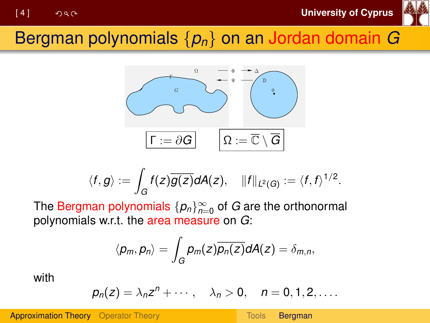

#### <span id="page-3-0"></span>Bergman polynomials {*pn*} on an Jordan domain *G*



$$
\langle f,g\rangle:=\int_G f(z)\overline{g(z)}dA(z),\quad \|f\|_{L^2(G)}:=\langle f,f\rangle^{1/2}.
$$

The  $\mathsf{Bergman}$  polynomials  $\{\rho_n\}_{n=0}^\infty$  of  $G$  are the orthonormal polynomials w.r.t. the area measure on *G*:

$$
\langle p_m, p_n \rangle = \int_G p_m(z) \overline{p_n(z)} dA(z) = \delta_{m,n},
$$

with

$$
p_n(z) = \lambda_n z^n + \cdots, \quad \lambda_n > 0, \quad n = 0, 1, 2, \ldots.
$$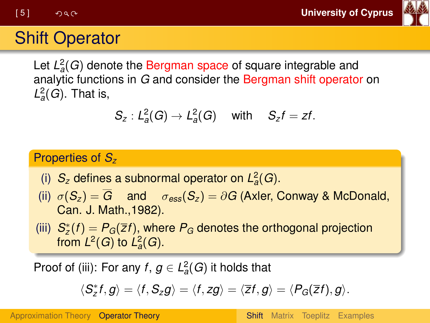

# <span id="page-4-0"></span>Shift Operator

Let  $L^2_a(G)$  denote the Bergman space of square integrable and analytic functions in *G* and consider the Bergman shift operator on  $L^2_a(G)$ . That is,

$$
S_z: L^2_a(G)\to L^2_a(G) \quad \text{ with } \quad S_zf=zt.
$$

#### Properties of *S<sup>z</sup>*

- (i)  $S_z$  defines a subnormal operator on  $L^2_a(G)$ .
- (ii)  $\sigma(S_z) = \overline{G}$  and  $\sigma_{\text{ess}}(S_z) = \partial G$  (Axler, Conway & McDonald, Can. J. Math.,1982).
- (iii)  $S_z^*(f) = P_G(\overline{z}f)$ , where  $P_G$  denotes the orthogonal projection from  $L^2(G)$  to  $L^2_a(G)$ .

Proof of (iii): For any  $f, g \in L^2_a(G)$  it holds that

$$
\langle S_z^* f, g \rangle = \langle f, S_z g \rangle = \langle f, zg \rangle = \langle \overline{z} f, g \rangle = \langle P_G(\overline{z} f), g \rangle.
$$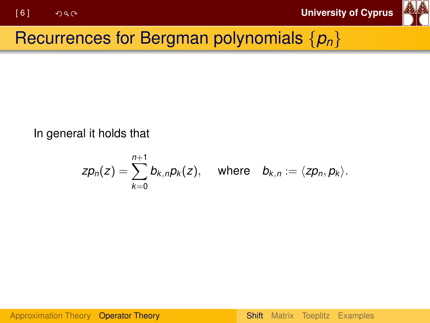

## Recurrences for Bergman polynomials {*pn*}

In general it holds that

$$
zp_n(z) = \sum_{k=0}^{n+1} b_{k,n} p_k(z), \quad \text{where} \quad b_{k,n} := \langle z p_n, p_k \rangle.
$$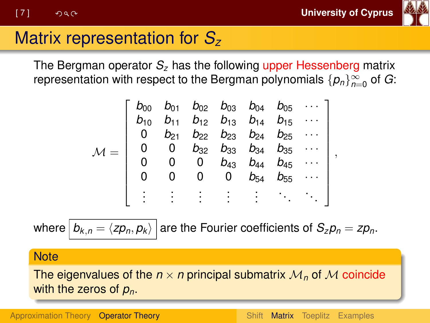

## <span id="page-6-0"></span>Matrix representation for *S<sup>z</sup>*

The Bergman operator *S<sup>z</sup>* has the following upper Hessenberg matrix representation with respect to the Bergman polynomials  $\{\rho_n\}_{n=0}^\infty$  of  $G$ :

$$
\mathcal{M} = \left[\begin{array}{cccccc} b_{00} & b_{01} & b_{02} & b_{03} & b_{04} & b_{05} & \cdots \\ b_{10} & b_{11} & b_{12} & b_{13} & b_{14} & b_{15} & \cdots \\ 0 & b_{21} & b_{22} & b_{23} & b_{24} & b_{25} & \cdots \\ 0 & 0 & b_{32} & b_{33} & b_{34} & b_{35} & \cdots \\ 0 & 0 & 0 & b_{43} & b_{44} & b_{45} & \cdots \\ 0 & 0 & 0 & 0 & b_{54} & b_{55} & \cdots \\ \vdots & \vdots & \vdots & \vdots & \vdots & \ddots & \ddots \end{array}\right],
$$

where  $|b_{k,n} = \langle z p_n, p_k \rangle$  are the Fourier coefficients of  $S_z p_n = z p_n$ .

**Note** 

The eigenvalues of the  $n \times n$  principal submatrix  $\mathcal{M}_n$  of  $\mathcal M$  coincide with the zeros of *pn*.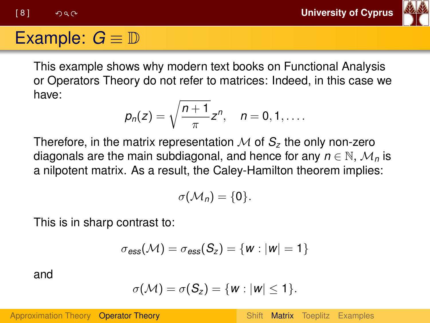[ 8 ] **University of Cyprus**



#### Example:  $G \equiv \mathbb{D}$

This example shows why modern text books on Functional Analysis or Operators Theory do not refer to matrices: Indeed, in this case we have:

$$
p_n(z)=\sqrt{\frac{n+1}{\pi}}z^n,\quad n=0,1,\ldots.
$$

Therefore, in the matrix representation  $M$  of  $S<sub>z</sub>$  the only non-zero diagonals are the main subdiagonal, and hence for any  $n \in \mathbb{N}$ ,  $\mathcal{M}_n$  is a nilpotent matrix. As a result, the Caley-Hamilton theorem implies:

$$
\sigma(\mathcal{M}_n)=\{0\}.
$$

This is in sharp contrast to:

$$
\sigma_{\textit{ess}}(\mathcal{M}) = \sigma_{\textit{ess}}(S_{z}) = \{w : |w| = 1\}
$$

and

$$
\sigma(\mathcal{M})=\sigma(\mathcal{S}_z)=\{w:|w|\leq 1\}.
$$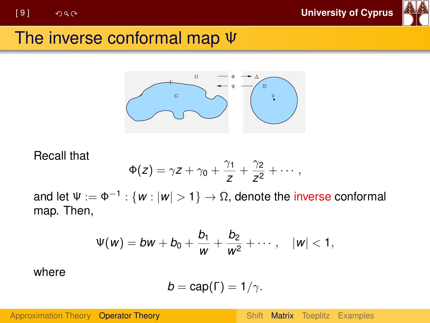

#### The inverse conformal map Ψ



#### Recall that

$$
\Phi(z) = \gamma z + \gamma_0 + \frac{\gamma_1}{z} + \frac{\gamma_2}{z^2} + \cdots,
$$

and let  $\Psi:=\Phi^{-1}:\{\pmb{w}:|\pmb{w}|>1\}\to\Omega,$  denote the i<mark>nverse</mark> conformal map. Then,

$$
\Psi(w) = bw + b_0 + \frac{b_1}{w} + \frac{b_2}{w^2} + \cdots, \quad |w| < 1,
$$

where

$$
b = cap(\Gamma) = 1/\gamma.
$$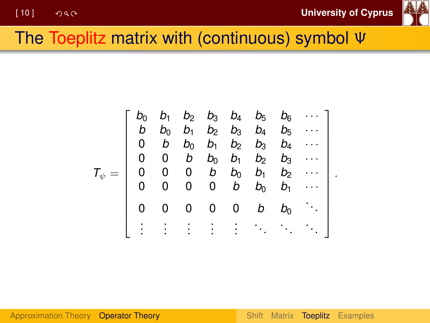.



### <span id="page-9-0"></span>The Toeplitz matrix with (continuous) symbol Ψ

$$
T_{\psi} = \left[\begin{array}{ccccc} b_0 & b_1 & b_2 & b_3 & b_4 & b_5 & b_6 & \cdots \\ b & b_0 & b_1 & b_2 & b_3 & b_4 & b_5 & \cdots \\ 0 & b & b_0 & b_1 & b_2 & b_3 & b_4 & \cdots \\ 0 & 0 & b & b_0 & b_1 & b_2 & b_3 & \cdots \\ 0 & 0 & 0 & b & b_0 & b_1 & b_2 & \cdots \\ 0 & 0 & 0 & 0 & b & b_0 & b_1 & \cdots \\ 0 & 0 & 0 & 0 & 0 & b & b_0 & \ddots \\ \vdots & \vdots & \vdots & \vdots & \vdots & \ddots & \ddots & \ddots \end{array}\right]
$$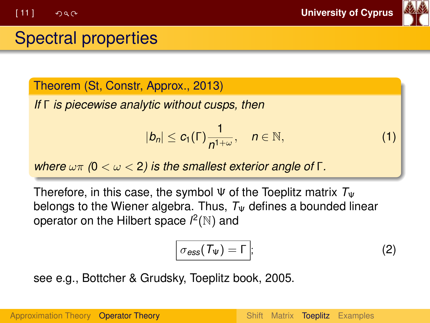

#### Spectral properties

Theorem (St, Constr, Approx., 2013)

*If* Γ *is piecewise analytic without cusps, then*

$$
|b_n| \leq c_1(\Gamma) \frac{1}{n^{1+\omega}}, \quad n \in \mathbb{N}, \tag{1}
$$

*where* ωπ *(*0 < ω < 2*) is the smallest exterior angle of* Γ*.*

Therefore, in this case, the symbol  $\Psi$  of the Toeplitz matrix  $T_{\Psi}$ belongs to the Wiener algebra. Thus,  $T_{\Psi}$  defines a bounded linear operator on the Hilbert space  $l^2(\mathbb{N})$  and

$$
\sigma_{\rm ess}(\mathcal{T}_{\Psi}) = \Gamma \, ; \tag{2}
$$

see e.g., Bottcher & Grudsky, Toeplitz book, 2005.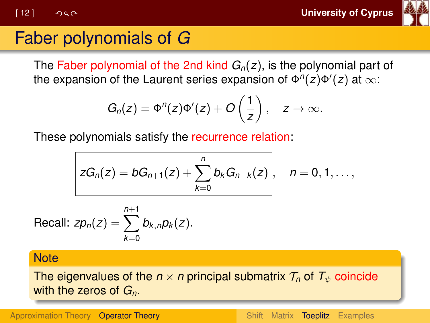[ 12 ] **University of Cyprus**



# Faber polynomials of *G*

The Faber polynomial of the 2nd kind *Gn*(*z*), is the polynomial part of the expansion of the Laurent series expansion of  $\Phi''(z)\Phi'(z)$  at  $\infty$ :

$$
G_n(z)=\Phi^n(z)\Phi'(z)+O\left(\frac{1}{z}\right), \quad z\to\infty.
$$

These polynomials satisfy the recurrence relation:

$$
zG_n(z) = bG_{n+1}(z) + \sum_{k=0}^n b_k G_{n-k}(z), \quad n = 0, 1, \ldots,
$$

Recall: 
$$
zp_n(z) = \sum_{k=0}^{n+1} b_{k,n} p_k(z)
$$
.

#### **Note**

The eigenvalues of the  $n \times n$  principal submatrix  $\mathcal{T}_n$  of  $\mathcal{T}_{\psi}$  coincide with the zeros of *Gn*.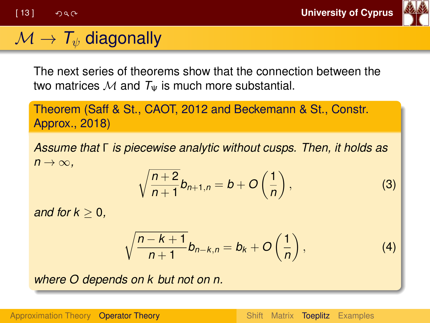

# $\mathcal{M} \to \mathcal{T}_{\psi}$  diagonally

The next series of theorems show that the connection between the two matrices  $M$  and  $T_{\Psi}$  is much more substantial.

Theorem (Saff & St., CAOT, 2012 and Beckemann & St., Constr. Approx., 2018)

*Assume that* Γ *is piecewise analytic without cusps. Then, it holds as*  $n \rightarrow \infty$ .

$$
\sqrt{\frac{n+2}{n+1}}b_{n+1,n}=b+O\left(\frac{1}{n}\right),\tag{3}
$$

*and for*  $k > 0$ *.* 

$$
\sqrt{\frac{n-k+1}{n+1}}b_{n-k,n}=b_k+O\left(\frac{1}{n}\right),\qquad (4)
$$

*where O depends on k but not on n.*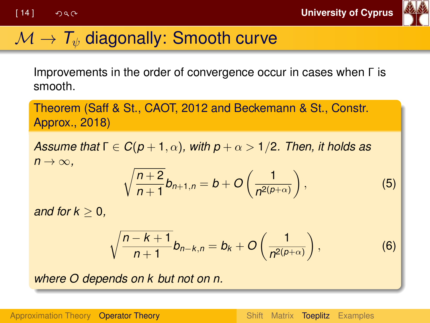

# $\mathcal{M} \to \mathcal{T}_{\psi}$  diagonally: Smooth curve

Improvements in the order of convergence occur in cases when Γ is smooth.

Theorem (Saff & St., CAOT, 2012 and Beckemann & St., Constr. Approx., 2018)

*Assume that*  $\Gamma \in C(p+1, \alpha)$ , with  $p + \alpha > 1/2$ . Then, it holds as  $n \rightarrow \infty$ .

$$
\sqrt{\frac{n+2}{n+1}}b_{n+1,n}=b+O\left(\frac{1}{n^{2(p+\alpha)}}\right),\qquad \qquad (5)
$$

*and for*  $k > 0$ *.* 

$$
\sqrt{\frac{n-k+1}{n+1}}b_{n-k,n}=b_k+O\left(\frac{1}{n^{2(p+\alpha)}}\right),\qquad \qquad (6)
$$

*where O depends on k but not on n.*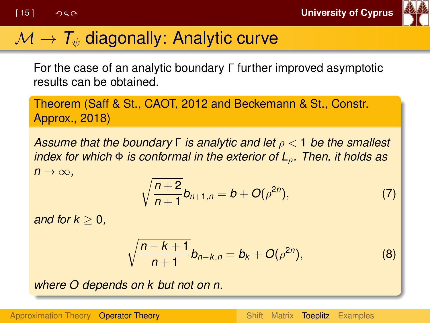

# $\mathcal{M} \to \mathcal{T}_{\psi}$  diagonally: Analytic curve

For the case of an analytic boundary Γ further improved asymptotic results can be obtained.

Theorem (Saff & St., CAOT, 2012 and Beckemann & St., Constr. Approx., 2018)

*Assume that the boundary* Γ *is analytic and let* ρ < 1 *be the smallest index for which* Φ *is conformal in the exterior of L*ρ*. Then, it holds as*  $n \rightarrow \infty$ .

$$
\sqrt{\frac{n+2}{n+1}}b_{n+1,n}=b+O(\rho^{2n}),
$$
\n(7)

*and for*  $k > 0$ *.* 

$$
\sqrt{\frac{n-k+1}{n+1}}b_{n-k,n}=b_k+O(\rho^{2n}),
$$
 (8)

*where O depends on k but not on n.*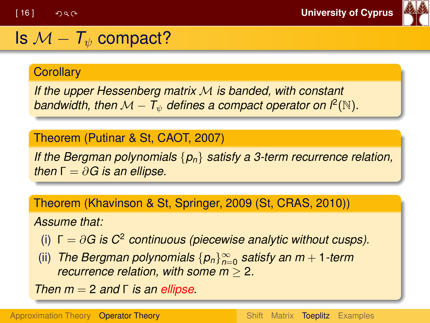

#### Is  $\mathcal{M} - \mathcal{T}_{\psi}$  compact?

#### **Corollarv**

*If the upper Hessenberg matrix* M *is banded, with constant* bandwidth, then  $\mathcal{M}-T_\psi$  defines a compact operator on  $l^2(\mathbb{N})$ .

Theorem (Putinar & St, CAOT, 2007)

*If the Bergman polynomials* {*pn*} *satisfy a 3-term recurrence relation, then*  $\Gamma = \partial G$  *is an ellipse.* 

Theorem (Khavinson & St, Springer, 2009 (St, CRAS, 2010))

*Assume that:*

(i)  $\Gamma = \partial G$  is  $C^2$  continuous (piecewise analytic without cusps).

(ii) *The Bergman polynomials* {*pn*}<sup>∞</sup> *n*=0 *satisfy an m* + 1*-term recurrence relation, with some m* ≥ 2*.*

*Then m* = 2 *and* Γ *is an ellipse.*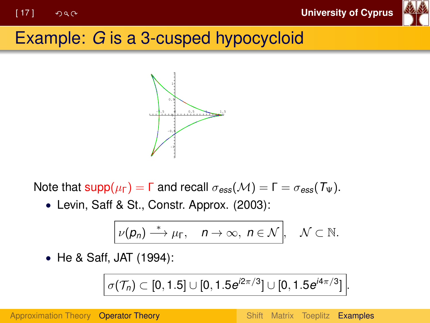

# <span id="page-16-0"></span>Example: *G* is a 3-cusped hypocycloid



Note that  $\text{supp}(\mu_{\Gamma}) = \Gamma$  and recall  $\sigma_{\text{ess}}(\mathcal{M}) = \Gamma = \sigma_{\text{ess}}(\mathcal{T}_{\Psi})$ .

• Levin, Saff & St., Constr. Approx. (2003):

$$
\boxed{\nu(p_n) \stackrel{*}{\longrightarrow} \mu_{\Gamma}, \quad n \to \infty, \ n \in \mathcal{N}}, \quad \mathcal{N} \subset \mathbb{N}.
$$

• He & Saff, JAT (1994):

$$
\sigma(\mathcal{T}_n) \subset [0,1.5] \cup [0,1.5e^{j2\pi/3}] \cup [0,1.5e^{j4\pi/3}].
$$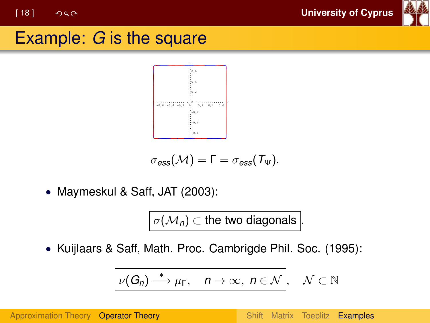[ 18 ] **University of Cyprus**



#### Example: *G* is the square



$$
\sigma_{\text{ess}}(\mathcal{M}) = \Gamma = \sigma_{\text{ess}}(T_\Psi).
$$

• Maymeskul & Saff, JAT (2003):

 $\big\vert\, \sigma({\cal M}_n) \subset \text{the two diagonals} \,\big\vert$ 

• Kuijlaars & Saff, Math. Proc. Cambrigde Phil. Soc. (1995):

$$
\nu(G_n) \stackrel{*}{\longrightarrow} \mu_{\Gamma}, \quad n \to \infty, \ n \in \mathcal{N}, \quad \mathcal{N} \subset \mathbb{N}
$$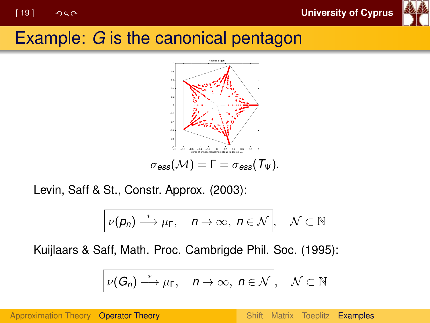

### Example: *G* is the canonical pentagon



Levin, Saff & St., Constr. Approx. (2003):

$$
\boxed{\nu(p_n) \stackrel{*}{\longrightarrow} \mu_{\Gamma}, \quad n \to \infty, \ n \in \mathcal{N}}, \quad \mathcal{N} \subset \mathbb{N}
$$

Kuijlaars & Saff, Math. Proc. Cambrigde Phil. Soc. (1995):

$$
\nu(G_n) \stackrel{*}{\longrightarrow} \mu_{\Gamma}, \quad n \to \infty, \ n \in \mathcal{N}, \quad \mathcal{N} \subset \mathbb{N}
$$